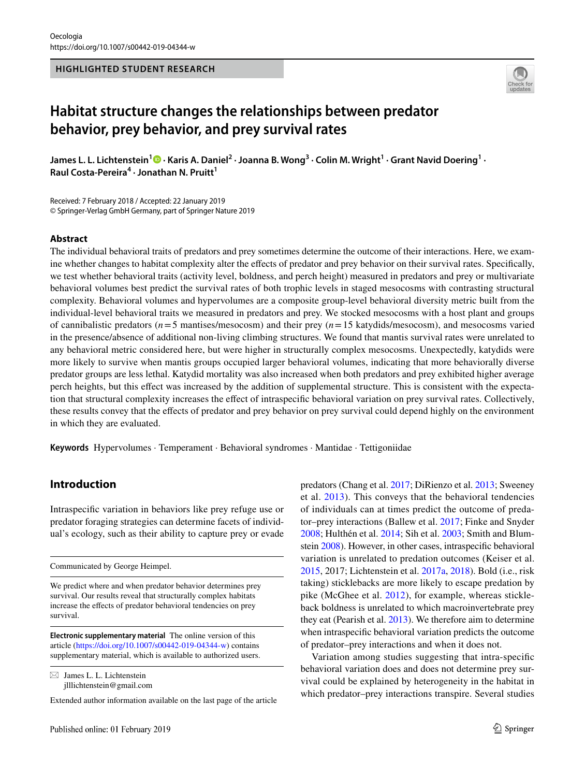

# **Habitat structure changes the relationships between predator behavior, prey behavior, and prey survival rates**

**James L. L. Lichtenstein1 · Karis A. Daniel2 · Joanna B. Wong3 · Colin M. Wright1 · Grant Navid Doering1 · Raul Costa‑Pereira4 · Jonathan N. Pruitt1**

Received: 7 February 2018 / Accepted: 22 January 2019 © Springer-Verlag GmbH Germany, part of Springer Nature 2019

### **Abstract**

The individual behavioral traits of predators and prey sometimes determine the outcome of their interactions. Here, we examine whether changes to habitat complexity alter the efects of predator and prey behavior on their survival rates. Specifcally, we test whether behavioral traits (activity level, boldness, and perch height) measured in predators and prey or multivariate behavioral volumes best predict the survival rates of both trophic levels in staged mesocosms with contrasting structural complexity. Behavioral volumes and hypervolumes are a composite group-level behavioral diversity metric built from the individual-level behavioral traits we measured in predators and prey. We stocked mesocosms with a host plant and groups of cannibalistic predators (*n*=5 mantises/mesocosm) and their prey (*n*=15 katydids/mesocosm), and mesocosms varied in the presence/absence of additional non-living climbing structures. We found that mantis survival rates were unrelated to any behavioral metric considered here, but were higher in structurally complex mesocosms. Unexpectedly, katydids were more likely to survive when mantis groups occupied larger behavioral volumes, indicating that more behaviorally diverse predator groups are less lethal. Katydid mortality was also increased when both predators and prey exhibited higher average perch heights, but this efect was increased by the addition of supplemental structure. This is consistent with the expectation that structural complexity increases the efect of intraspecifc behavioral variation on prey survival rates. Collectively, these results convey that the efects of predator and prey behavior on prey survival could depend highly on the environment in which they are evaluated.

**Keywords** Hypervolumes · Temperament · Behavioral syndromes · Mantidae · Tettigoniidae

# **Introduction**

Intraspecifc variation in behaviors like prey refuge use or predator foraging strategies can determine facets of individual's ecology, such as their ability to capture prey or evade

Communicated by George Heimpel.

We predict where and when predator behavior determines prey survival. Our results reveal that structurally complex habitats increase the efects of predator behavioral tendencies on prey survival.

**Electronic supplementary material** The online version of this article [\(https://doi.org/10.1007/s00442-019-04344-w\)](https://doi.org/10.1007/s00442-019-04344-w) contains supplementary material, which is available to authorized users.

 $\boxtimes$  James L. L. Lichtenstein jlllichtenstein@gmail.com

Extended author information available on the last page of the article

predators (Chang et al. [2017;](#page-10-0) DiRienzo et al. [2013;](#page-10-1) Sweeney et al. [2013](#page-11-0)). This conveys that the behavioral tendencies of individuals can at times predict the outcome of predator–prey interactions (Ballew et al. [2017](#page-10-2); Finke and Snyder [2008](#page-10-3); Hulthén et al. [2014;](#page-10-4) Sih et al. [2003](#page-11-1); Smith and Blumstein [2008\)](#page-11-2). However, in other cases, intraspecifc behavioral variation is unrelated to predation outcomes (Keiser et al. [2015](#page-10-5), 2017; Lichtenstein et al. [2017a,](#page-10-6) [2018\)](#page-10-7). Bold (i.e., risk taking) sticklebacks are more likely to escape predation by pike (McGhee et al. [2012\)](#page-10-8), for example, whereas stickleback boldness is unrelated to which macroinvertebrate prey they eat (Pearish et al. [2013\)](#page-11-3). We therefore aim to determine when intraspecifc behavioral variation predicts the outcome of predator–prey interactions and when it does not.

Variation among studies suggesting that intra-specifc behavioral variation does and does not determine prey survival could be explained by heterogeneity in the habitat in which predator–prey interactions transpire. Several studies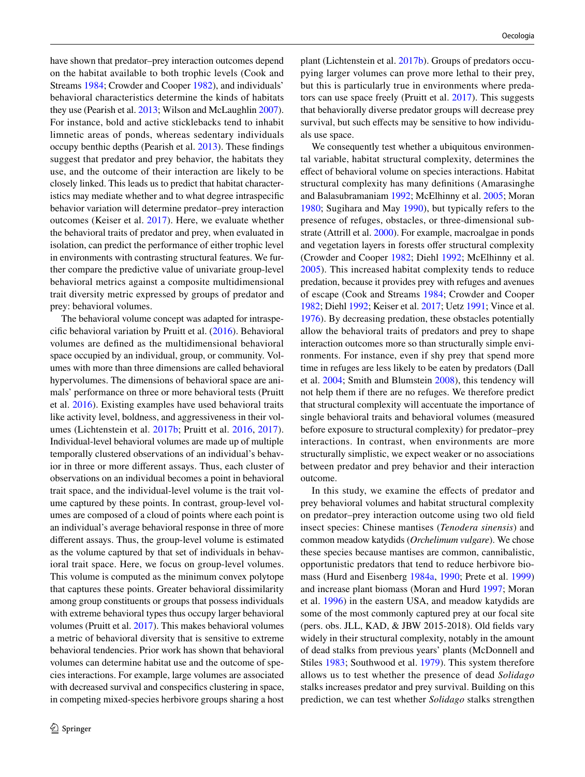have shown that predator–prey interaction outcomes depend on the habitat available to both trophic levels (Cook and Streams [1984;](#page-10-9) Crowder and Cooper [1982\)](#page-10-10), and individuals' behavioral characteristics determine the kinds of habitats they use (Pearish et al. [2013;](#page-11-3) Wilson and McLaughlin [2007](#page-11-4)). For instance, bold and active sticklebacks tend to inhabit limnetic areas of ponds, whereas sedentary individuals occupy benthic depths (Pearish et al. [2013\)](#page-11-3). These fndings suggest that predator and prey behavior, the habitats they use, and the outcome of their interaction are likely to be closely linked. This leads us to predict that habitat characteristics may mediate whether and to what degree intraspecifc behavior variation will determine predator–prey interaction outcomes (Keiser et al. [2017](#page-10-11)). Here, we evaluate whether the behavioral traits of predator and prey, when evaluated in isolation, can predict the performance of either trophic level in environments with contrasting structural features. We further compare the predictive value of univariate group-level behavioral metrics against a composite multidimensional trait diversity metric expressed by groups of predator and prey: behavioral volumes.

The behavioral volume concept was adapted for intraspecifc behavioral variation by Pruitt et al. ([2016\)](#page-11-5). Behavioral volumes are defned as the multidimensional behavioral space occupied by an individual, group, or community. Volumes with more than three dimensions are called behavioral hypervolumes. The dimensions of behavioral space are animals' performance on three or more behavioral tests (Pruitt et al. [2016](#page-11-5)). Existing examples have used behavioral traits like activity level, boldness, and aggressiveness in their volumes (Lichtenstein et al. [2017b](#page-10-12); Pruitt et al. [2016](#page-11-5), [2017](#page-11-6)). Individual-level behavioral volumes are made up of multiple temporally clustered observations of an individual's behavior in three or more diferent assays. Thus, each cluster of observations on an individual becomes a point in behavioral trait space, and the individual-level volume is the trait volume captured by these points. In contrast, group-level volumes are composed of a cloud of points where each point is an individual's average behavioral response in three of more diferent assays. Thus, the group-level volume is estimated as the volume captured by that set of individuals in behavioral trait space. Here, we focus on group-level volumes. This volume is computed as the minimum convex polytope that captures these points. Greater behavioral dissimilarity among group constituents or groups that possess individuals with extreme behavioral types thus occupy larger behavioral volumes (Pruitt et al. [2017](#page-11-6)). This makes behavioral volumes a metric of behavioral diversity that is sensitive to extreme behavioral tendencies. Prior work has shown that behavioral volumes can determine habitat use and the outcome of species interactions. For example, large volumes are associated with decreased survival and conspecifics clustering in space, in competing mixed-species herbivore groups sharing a host plant (Lichtenstein et al. [2017b](#page-10-12)). Groups of predators occupying larger volumes can prove more lethal to their prey, but this is particularly true in environments where predators can use space freely (Pruitt et al. [2017\)](#page-11-6). This suggests that behaviorally diverse predator groups will decrease prey survival, but such effects may be sensitive to how individuals use space.

We consequently test whether a ubiquitous environmental variable, habitat structural complexity, determines the efect of behavioral volume on species interactions. Habitat structural complexity has many defnitions (Amarasinghe and Balasubramaniam [1992](#page-10-13); McElhinny et al. [2005](#page-10-14); Moran [1980;](#page-10-15) Sugihara and May [1990](#page-11-7)), but typically refers to the presence of refuges, obstacles, or three-dimensional substrate (Attrill et al. [2000\)](#page-10-16). For example, macroalgae in ponds and vegetation layers in forests offer structural complexity (Crowder and Cooper [1982](#page-10-10); Diehl [1992](#page-10-17); McElhinny et al. [2005\)](#page-10-14). This increased habitat complexity tends to reduce predation, because it provides prey with refuges and avenues of escape (Cook and Streams [1984;](#page-10-9) Crowder and Cooper [1982](#page-10-10); Diehl [1992](#page-10-17); Keiser et al. [2017;](#page-10-11) Uetz [1991;](#page-11-8) Vince et al. [1976](#page-11-9)). By decreasing predation, these obstacles potentially allow the behavioral traits of predators and prey to shape interaction outcomes more so than structurally simple environments. For instance, even if shy prey that spend more time in refuges are less likely to be eaten by predators (Dall et al. [2004;](#page-10-18) Smith and Blumstein [2008](#page-11-2)), this tendency will not help them if there are no refuges. We therefore predict that structural complexity will accentuate the importance of single behavioral traits and behavioral volumes (measured before exposure to structural complexity) for predator–prey interactions. In contrast, when environments are more structurally simplistic, we expect weaker or no associations between predator and prey behavior and their interaction outcome.

In this study, we examine the efects of predator and prey behavioral volumes and habitat structural complexity on predator–prey interaction outcome using two old feld insect species: Chinese mantises (*Tenodera sinensis*) and common meadow katydids (*Orchelimum vulgare*). We chose these species because mantises are common, cannibalistic, opportunistic predators that tend to reduce herbivore biomass (Hurd and Eisenberg [1984a](#page-10-19), [1990](#page-10-20); Prete et al. [1999\)](#page-11-10) and increase plant biomass (Moran and Hurd [1997;](#page-11-11) Moran et al. [1996\)](#page-11-12) in the eastern USA, and meadow katydids are some of the most commonly captured prey at our focal site (pers. obs. JLL, KAD, & JBW 2015-2018). Old felds vary widely in their structural complexity, notably in the amount of dead stalks from previous years' plants (McDonnell and Stiles [1983](#page-10-21); Southwood et al. [1979](#page-11-13)). This system therefore allows us to test whether the presence of dead *Solidago* stalks increases predator and prey survival. Building on this prediction, we can test whether *Solidago* stalks strengthen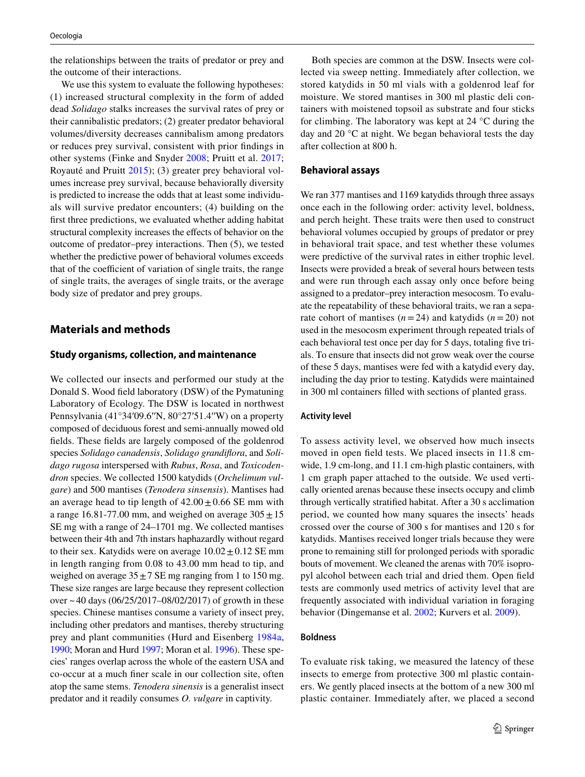the relationships between the traits of predator or prey and the outcome of their interactions.

We use this system to evaluate the following hypotheses: (1) increased structural complexity in the form of added dead *Solidago* stalks increases the survival rates of prey or their cannibalistic predators; (2) greater predator behavioral volumes/diversity decreases cannibalism among predators or reduces prey survival, consistent with prior fndings in other systems (Finke and Snyder [2008](#page-10-3); Pruitt et al. [2017](#page-11-6); Royauté and Pruitt [2015](#page-11-14)); (3) greater prey behavioral volumes increase prey survival, because behaviorally diversity is predicted to increase the odds that at least some individuals will survive predator encounters; (4) building on the frst three predictions, we evaluated whether adding habitat structural complexity increases the effects of behavior on the outcome of predator–prey interactions. Then (5), we tested whether the predictive power of behavioral volumes exceeds that of the coefficient of variation of single traits, the range of single traits, the averages of single traits, or the average body size of predator and prey groups.

# **Materials and methods**

#### **Study organisms, collection, and maintenance**

We collected our insects and performed our study at the Donald S. Wood feld laboratory (DSW) of the Pymatuning Laboratory of Ecology. The DSW is located in northwest Pennsylvania (41°34′09.6′′N, 80°27′51.4′′W) on a property composed of deciduous forest and semi-annually mowed old felds. These felds are largely composed of the goldenrod species *Solidago canadensis*, *Solidago grandifora*, and *Solidago rugosa* interspersed with *Rubus*, *Rosa*, and *Toxicodendron* species. We collected 1500 katydids (*Orchelimum vulgare*) and 500 mantises (*Tenodera sinsensis*). Mantises had an average head to tip length of  $42.00 \pm 0.66$  SE mm with a range  $16.81-77.00$  mm, and weighed on average  $305 \pm 15$ SE mg with a range of 24–1701 mg. We collected mantises between their 4th and 7th instars haphazardly without regard to their sex. Katydids were on average  $10.02 \pm 0.12$  SE mm in length ranging from 0.08 to 43.00 mm head to tip, and weighed on average  $35 \pm 7$  SE mg ranging from 1 to 150 mg. These size ranges are large because they represent collection over ~40 days (06/25/2017–08/02/2017) of growth in these species. Chinese mantises consume a variety of insect prey, including other predators and mantises, thereby structuring prey and plant communities (Hurd and Eisenberg [1984a,](#page-10-19) [1990;](#page-10-20) Moran and Hurd [1997;](#page-11-11) Moran et al. [1996\)](#page-11-12). These species' ranges overlap across the whole of the eastern USA and co-occur at a much fner scale in our collection site, often atop the same stems. *Tenodera sinensis* is a generalist insect predator and it readily consumes *O. vulgare* in captivity.

Both species are common at the DSW. Insects were collected via sweep netting. Immediately after collection, we stored katydids in 50 ml vials with a goldenrod leaf for moisture. We stored mantises in 300 ml plastic deli containers with moistened topsoil as substrate and four sticks for climbing. The laboratory was kept at 24 °C during the day and 20 °C at night. We began behavioral tests the day after collection at 800 h.

#### **Behavioral assays**

We ran 377 mantises and 1169 katydids through three assays once each in the following order: activity level, boldness, and perch height. These traits were then used to construct behavioral volumes occupied by groups of predator or prey in behavioral trait space, and test whether these volumes were predictive of the survival rates in either trophic level. Insects were provided a break of several hours between tests and were run through each assay only once before being assigned to a predator–prey interaction mesocosm. To evaluate the repeatability of these behavioral traits, we ran a separate cohort of mantises  $(n=24)$  and katydids  $(n=20)$  not used in the mesocosm experiment through repeated trials of each behavioral test once per day for 5 days, totaling five trials. To ensure that insects did not grow weak over the course of these 5 days, mantises were fed with a katydid every day, including the day prior to testing. Katydids were maintained in 300 ml containers flled with sections of planted grass.

#### **Activity level**

To assess activity level, we observed how much insects moved in open feld tests. We placed insects in 11.8 cmwide, 1.9 cm-long, and 11.1 cm-high plastic containers, with 1 cm graph paper attached to the outside. We used vertically oriented arenas because these insects occupy and climb through vertically stratifed habitat. After a 30 s acclimation period, we counted how many squares the insects' heads crossed over the course of 300 s for mantises and 120 s for katydids. Mantises received longer trials because they were prone to remaining still for prolonged periods with sporadic bouts of movement. We cleaned the arenas with 70% isopropyl alcohol between each trial and dried them. Open feld tests are commonly used metrics of activity level that are frequently associated with individual variation in foraging behavior (Dingemanse et al. [2002;](#page-10-22) Kurvers et al. [2009](#page-10-23)).

#### **Boldness**

To evaluate risk taking, we measured the latency of these insects to emerge from protective 300 ml plastic containers. We gently placed insects at the bottom of a new 300 ml plastic container. Immediately after, we placed a second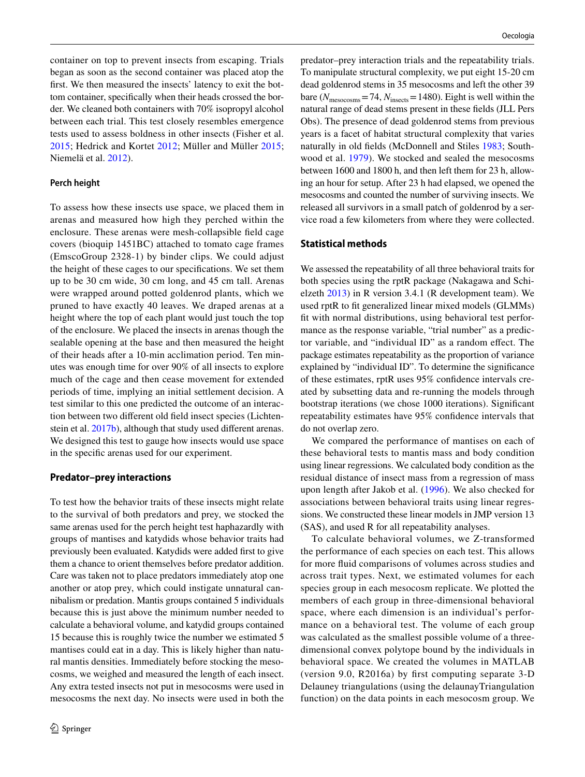container on top to prevent insects from escaping. Trials began as soon as the second container was placed atop the frst. We then measured the insects' latency to exit the bottom container, specifcally when their heads crossed the border. We cleaned both containers with 70% isopropyl alcohol between each trial. This test closely resembles emergence tests used to assess boldness in other insects (Fisher et al. [2015;](#page-10-24) Hedrick and Kortet [2012;](#page-10-25) Müller and Müller [2015](#page-11-15); Niemelä et al. [2012\)](#page-11-16).

#### **Perch height**

To assess how these insects use space, we placed them in arenas and measured how high they perched within the enclosure. These arenas were mesh-collapsible feld cage covers (bioquip 1451BC) attached to tomato cage frames (EmscoGroup 2328-1) by binder clips. We could adjust the height of these cages to our specifcations. We set them up to be 30 cm wide, 30 cm long, and 45 cm tall. Arenas were wrapped around potted goldenrod plants, which we pruned to have exactly 40 leaves. We draped arenas at a height where the top of each plant would just touch the top of the enclosure. We placed the insects in arenas though the sealable opening at the base and then measured the height of their heads after a 10-min acclimation period. Ten minutes was enough time for over 90% of all insects to explore much of the cage and then cease movement for extended periods of time, implying an initial settlement decision. A test similar to this one predicted the outcome of an interaction between two diferent old feld insect species (Lichtenstein et al. [2017b](#page-10-12)), although that study used diferent arenas. We designed this test to gauge how insects would use space in the specifc arenas used for our experiment.

#### **Predator–prey interactions**

To test how the behavior traits of these insects might relate to the survival of both predators and prey, we stocked the same arenas used for the perch height test haphazardly with groups of mantises and katydids whose behavior traits had previously been evaluated. Katydids were added frst to give them a chance to orient themselves before predator addition. Care was taken not to place predators immediately atop one another or atop prey, which could instigate unnatural cannibalism or predation. Mantis groups contained 5 individuals because this is just above the minimum number needed to calculate a behavioral volume, and katydid groups contained 15 because this is roughly twice the number we estimated 5 mantises could eat in a day. This is likely higher than natural mantis densities. Immediately before stocking the mesocosms, we weighed and measured the length of each insect. Any extra tested insects not put in mesocosms were used in mesocosms the next day. No insects were used in both the

predator–prey interaction trials and the repeatability trials. To manipulate structural complexity, we put eight 15-20 cm dead goldenrod stems in 35 mesocosms and left the other 39 bare ( $N_{\text{mesocosms}}$ =74,  $N_{\text{insects}}$ =1480). Eight is well within the natural range of dead stems present in these felds (JLL Pers Obs). The presence of dead goldenrod stems from previous years is a facet of habitat structural complexity that varies naturally in old felds (McDonnell and Stiles [1983;](#page-10-21) Southwood et al. [1979](#page-11-13)). We stocked and sealed the mesocosms between 1600 and 1800 h, and then left them for 23 h, allowing an hour for setup. After 23 h had elapsed, we opened the mesocosms and counted the number of surviving insects. We released all survivors in a small patch of goldenrod by a service road a few kilometers from where they were collected.

#### **Statistical methods**

We assessed the repeatability of all three behavioral traits for both species using the rptR package (Nakagawa and Schielzeth [2013](#page-11-17)) in R version 3.4.1 (R development team). We used rptR to ft generalized linear mixed models (GLMMs) ft with normal distributions, using behavioral test performance as the response variable, "trial number" as a predictor variable, and "individual ID" as a random efect. The package estimates repeatability as the proportion of variance explained by "individual ID". To determine the signifcance of these estimates, rptR uses 95% confdence intervals created by subsetting data and re-running the models through bootstrap iterations (we chose 1000 iterations). Signifcant repeatability estimates have 95% confdence intervals that do not overlap zero.

We compared the performance of mantises on each of these behavioral tests to mantis mass and body condition using linear regressions. We calculated body condition as the residual distance of insect mass from a regression of mass upon length after Jakob et al. [\(1996\)](#page-10-26). We also checked for associations between behavioral traits using linear regressions. We constructed these linear models in JMP version 13 (SAS), and used R for all repeatability analyses.

To calculate behavioral volumes, we Z-transformed the performance of each species on each test. This allows for more fuid comparisons of volumes across studies and across trait types. Next, we estimated volumes for each species group in each mesocosm replicate. We plotted the members of each group in three-dimensional behavioral space, where each dimension is an individual's performance on a behavioral test. The volume of each group was calculated as the smallest possible volume of a threedimensional convex polytope bound by the individuals in behavioral space. We created the volumes in MATLAB (version 9.0, R2016a) by frst computing separate 3-D Delauney triangulations (using the delaunayTriangulation function) on the data points in each mesocosm group. We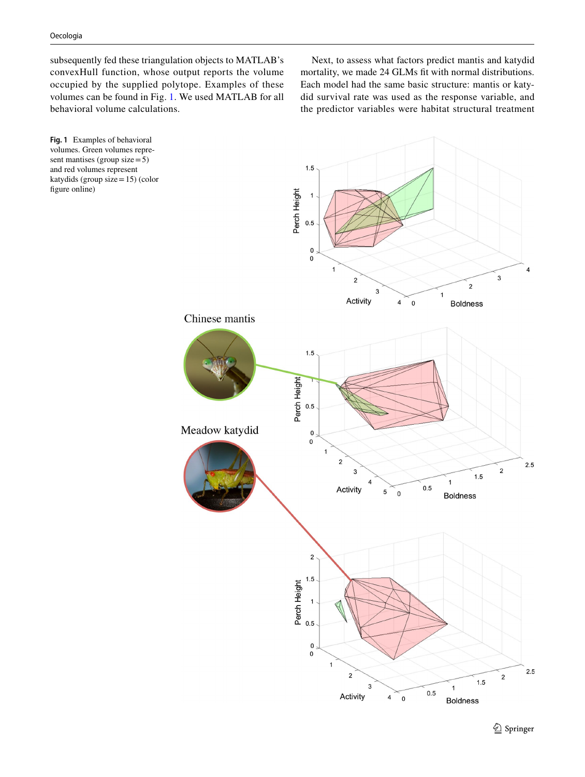subsequently fed these triangulation objects to MATLAB's convexHull function, whose output reports the volume occupied by the supplied polytope. Examples of these volumes can be found in Fig. [1](#page-4-0). We used MATLAB for all behavioral volume calculations.

<span id="page-4-0"></span>

Next, to assess what factors predict mantis and katydid mortality, we made 24 GLMs ft with normal distributions. Each model had the same basic structure: mantis or katydid survival rate was used as the response variable, and the predictor variables were habitat structural treatment

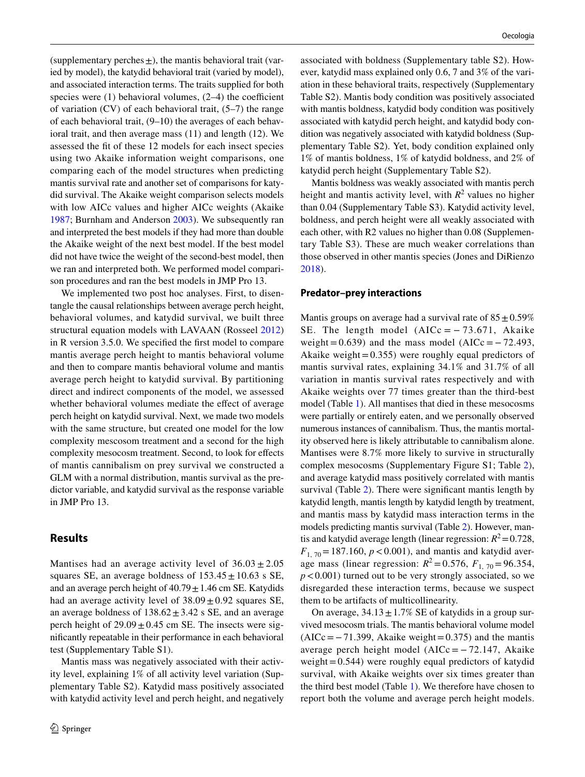(supplementary perches  $\pm$ ), the mantis behavioral trait (varied by model), the katydid behavioral trait (varied by model), and associated interaction terms. The traits supplied for both species were  $(1)$  behavioral volumes,  $(2-4)$  the coefficient of variation (CV) of each behavioral trait, (5–7) the range of each behavioral trait, (9–10) the averages of each behavioral trait, and then average mass (11) and length (12). We assessed the ft of these 12 models for each insect species using two Akaike information weight comparisons, one comparing each of the model structures when predicting mantis survival rate and another set of comparisons for katydid survival. The Akaike weight comparison selects models with low AICc values and higher AICc weights (Akaike [1987](#page-10-27); Burnham and Anderson [2003\)](#page-10-28). We subsequently ran and interpreted the best models if they had more than double the Akaike weight of the next best model. If the best model did not have twice the weight of the second-best model, then we ran and interpreted both. We performed model comparison procedures and ran the best models in JMP Pro 13.

We implemented two post hoc analyses. First, to disentangle the causal relationships between average perch height, behavioral volumes, and katydid survival, we built three structural equation models with LAVAAN (Rosseel [2012\)](#page-11-18) in R version 3.5.0. We specifed the frst model to compare mantis average perch height to mantis behavioral volume and then to compare mantis behavioral volume and mantis average perch height to katydid survival. By partitioning direct and indirect components of the model, we assessed whether behavioral volumes mediate the effect of average perch height on katydid survival. Next, we made two models with the same structure, but created one model for the low complexity mescosom treatment and a second for the high complexity mesocosm treatment. Second, to look for efects of mantis cannibalism on prey survival we constructed a GLM with a normal distribution, mantis survival as the predictor variable, and katydid survival as the response variable in JMP Pro 13.

# **Results**

Mantises had an average activity level of  $36.03 \pm 2.05$ squares SE, an average boldness of  $153.45 \pm 10.63$  s SE, and an average perch height of  $40.79 \pm 1.46$  cm SE. Katydids had an average activity level of  $38.09 \pm 0.92$  squares SE, an average boldness of  $138.62 \pm 3.42$  s SE, and an average perch height of  $29.09 \pm 0.45$  cm SE. The insects were signifcantly repeatable in their performance in each behavioral test (Supplementary Table S1).

Mantis mass was negatively associated with their activity level, explaining 1% of all activity level variation (Supplementary Table S2). Katydid mass positively associated with katydid activity level and perch height, and negatively associated with boldness (Supplementary table S2). However, katydid mass explained only 0.6, 7 and 3% of the variation in these behavioral traits, respectively (Supplementary Table S2). Mantis body condition was positively associated with mantis boldness, katydid body condition was positively associated with katydid perch height, and katydid body condition was negatively associated with katydid boldness (Supplementary Table S2). Yet, body condition explained only 1% of mantis boldness, 1% of katydid boldness, and 2% of katydid perch height (Supplementary Table S2).

Mantis boldness was weakly associated with mantis perch height and mantis activity level, with  $R^2$  values no higher than 0.04 (Supplementary Table S3). Katydid activity level, boldness, and perch height were all weakly associated with each other, with R2 values no higher than 0.08 (Supplementary Table S3). These are much weaker correlations than those observed in other mantis species (Jones and DiRienzo [2018](#page-10-29)).

#### **Predator–prey interactions**

Mantis groups on average had a survival rate of  $85 \pm 0.59\%$ SE. The length model  $(AICc = -73.671, Akaike$ weight =  $0.639$ ) and the mass model (AICc =  $-72.493$ , Akaike weight= $0.355$ ) were roughly equal predictors of mantis survival rates, explaining 34.1% and 31.7% of all variation in mantis survival rates respectively and with Akaike weights over 77 times greater than the third-best model (Table [1\)](#page-6-0). All mantises that died in these mesocosms were partially or entirely eaten, and we personally observed numerous instances of cannibalism. Thus, the mantis mortality observed here is likely attributable to cannibalism alone. Mantises were 8.7% more likely to survive in structurally complex mesocosms (Supplementary Figure S1; Table [2](#page-7-0)), and average katydid mass positively correlated with mantis survival (Table [2](#page-7-0)). There were significant mantis length by katydid length, mantis length by katydid length by treatment, and mantis mass by katydid mass interaction terms in the models predicting mantis survival (Table [2\)](#page-7-0). However, mantis and katydid average length (linear regression:  $R^2$  = 0.728,  $F_{1, 70} = 187.160, p < 0.001$ , and mantis and katydid average mass (linear regression:  $R^2 = 0.576$ ,  $F_{1,70} = 96.354$ ,  $p < 0.001$ ) turned out to be very strongly associated, so we disregarded these interaction terms, because we suspect them to be artifacts of multicollinearity.

On average,  $34.13 \pm 1.7\%$  SE of katydids in a group survived mesocosm trials. The mantis behavioral volume model  $(AICc=-71.399, Akaike weight=0.375)$  and the mantis average perch height model  $(AICc = -72.147, Akaike$ weight  $= 0.544$ ) were roughly equal predictors of katydid survival, with Akaike weights over six times greater than the third best model (Table [1](#page-6-0)). We therefore have chosen to report both the volume and average perch height models.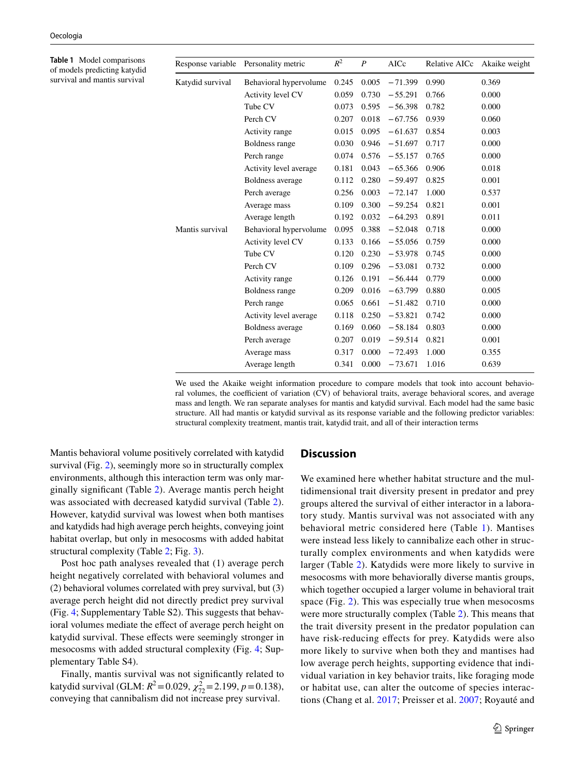<span id="page-6-0"></span>**Table 1** Model comparisons of models predicting katydid survival and mantis survival

| Response variable | Personality metric      | $R^2$ | $\boldsymbol{P}$ | AICc      | Relative AICc | Akaike weight |
|-------------------|-------------------------|-------|------------------|-----------|---------------|---------------|
| Katydid survival  | Behavioral hypervolume  | 0.245 | 0.005            | $-71.399$ | 0.990         | 0.369         |
|                   | Activity level CV       | 0.059 | 0.730            | $-55.291$ | 0.766         | 0.000         |
|                   | Tube CV                 | 0.073 | 0.595            | $-56.398$ | 0.782         | 0.000         |
|                   | Perch CV                | 0.207 | 0.018            | $-67.756$ | 0.939         | 0.060         |
|                   | Activity range          | 0.015 | 0.095            | $-61.637$ | 0.854         | 0.003         |
|                   | <b>Boldness</b> range   | 0.030 | 0.946            | $-51.697$ | 0.717         | 0.000         |
|                   | Perch range             | 0.074 | 0.576            | $-55.157$ | 0.765         | 0.000         |
|                   | Activity level average  | 0.181 | 0.043            | $-65.366$ | 0.906         | 0.018         |
|                   | <b>Boldness</b> average | 0.112 | 0.280            | $-59.497$ | 0.825         | 0.001         |
|                   | Perch average           | 0.256 | 0.003            | $-72.147$ | 1.000         | 0.537         |
|                   | Average mass            | 0.109 | 0.300            | $-59.254$ | 0.821         | 0.001         |
|                   | Average length          | 0.192 | 0.032            | $-64.293$ | 0.891         | 0.011         |
| Mantis survival   | Behavioral hypervolume  | 0.095 | 0.388            | $-52.048$ | 0.718         | 0.000         |
|                   | Activity level CV       | 0.133 | 0.166            | $-55.056$ | 0.759         | 0.000         |
|                   | Tube CV                 | 0.120 | 0.230            | $-53.978$ | 0.745         | 0.000         |
|                   | Perch CV                | 0.109 | 0.296            | $-53.081$ | 0.732         | 0.000         |
|                   | Activity range          | 0.126 | 0.191            | $-56.444$ | 0.779         | 0.000         |
|                   | <b>Boldness</b> range   | 0.209 | 0.016            | $-63.799$ | 0.880         | 0.005         |
|                   | Perch range             | 0.065 | 0.661            | $-51.482$ | 0.710         | 0.000         |
|                   | Activity level average  | 0.118 | 0.250            | $-53.821$ | 0.742         | 0.000         |
|                   | <b>Boldness</b> average | 0.169 | 0.060            | $-58.184$ | 0.803         | 0.000         |
|                   | Perch average           | 0.207 | 0.019            | $-59.514$ | 0.821         | 0.001         |
|                   | Average mass            | 0.317 | 0.000            | $-72.493$ | 1.000         | 0.355         |
|                   | Average length          | 0.341 | 0.000            | $-73.671$ | 1.016         | 0.639         |

We used the Akaike weight information procedure to compare models that took into account behavioral volumes, the coefficient of variation (CV) of behavioral traits, average behavioral scores, and average mass and length. We ran separate analyses for mantis and katydid survival. Each model had the same basic structure. All had mantis or katydid survival as its response variable and the following predictor variables: structural complexity treatment, mantis trait, katydid trait, and all of their interaction terms

Mantis behavioral volume positively correlated with katydid survival (Fig. [2\)](#page-8-0), seemingly more so in structurally complex environments, although this interaction term was only marginally signifcant (Table [2](#page-7-0)). Average mantis perch height was associated with decreased katydid survival (Table [2](#page-7-0)). However, katydid survival was lowest when both mantises and katydids had high average perch heights, conveying joint habitat overlap, but only in mesocosms with added habitat structural complexity (Table [2](#page-7-0); Fig. [3\)](#page-8-1).

Post hoc path analyses revealed that (1) average perch height negatively correlated with behavioral volumes and (2) behavioral volumes correlated with prey survival, but (3) average perch height did not directly predict prey survival (Fig. [4](#page-9-0); Supplementary Table S2). This suggests that behavioral volumes mediate the effect of average perch height on katydid survival. These effects were seemingly stronger in mesocosms with added structural complexity (Fig. [4](#page-9-0); Supplementary Table S4).

Finally, mantis survival was not signifcantly related to katydid survival (GLM:  $R^2 = 0.029$ ,  $\chi^2_{72} = 2.199$ ,  $p = 0.138$ ), conveying that cannibalism did not increase prey survival.

### **Discussion**

We examined here whether habitat structure and the multidimensional trait diversity present in predator and prey groups altered the survival of either interactor in a laboratory study. Mantis survival was not associated with any behavioral metric considered here (Table [1\)](#page-6-0). Mantises were instead less likely to cannibalize each other in structurally complex environments and when katydids were larger (Table [2](#page-7-0)). Katydids were more likely to survive in mesocosms with more behaviorally diverse mantis groups, which together occupied a larger volume in behavioral trait space (Fig. [2\)](#page-8-0). This was especially true when mesocosms were more structurally complex (Table [2\)](#page-7-0). This means that the trait diversity present in the predator population can have risk-reducing efects for prey. Katydids were also more likely to survive when both they and mantises had low average perch heights, supporting evidence that individual variation in key behavior traits, like foraging mode or habitat use, can alter the outcome of species interactions (Chang et al. [2017](#page-10-0); Preisser et al. [2007](#page-11-19); Royauté and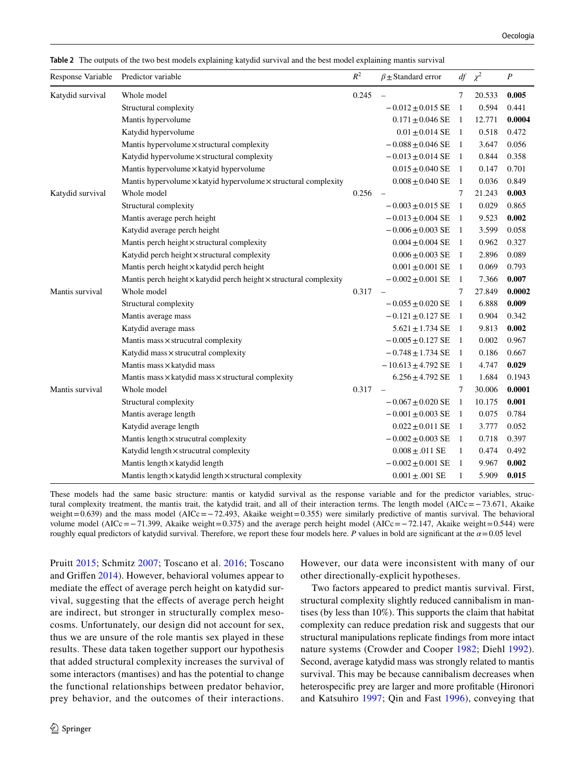<span id="page-7-0"></span>**Table 2** The outputs of the two best models explaining katydid survival and the best model explaining mantis survival

| Response Variable | Predictor variable                                                 | $R^2$ | $\beta \pm$ Standard error | df           | $\chi^2$ | $\boldsymbol{P}$ |
|-------------------|--------------------------------------------------------------------|-------|----------------------------|--------------|----------|------------------|
| Katydid survival  | Whole model                                                        | 0.245 |                            | 7            | 20.533   | 0.005            |
|                   | Structural complexity                                              |       | $-0.012 \pm 0.015$ SE      | -1           | 0.594    | 0.441            |
|                   | Mantis hypervolume                                                 |       | $0.171 \pm 0.046$ SE       | 1            | 12.771   | 0.0004           |
|                   | Katydid hypervolume                                                |       | $0.01 \pm 0.014$ SE        | -1           | 0.518    | 0.472            |
|                   | Mantis hypervolume x structural complexity                         |       | $-0.088 \pm 0.046$ SE      | -1           | 3.647    | 0.056            |
|                   | Katydid hypervolume x structural complexity                        |       | $-0.013 \pm 0.014$ SE      | -1           | 0.844    | 0.358            |
|                   | Mantis hypervolume x katyid hypervolume                            |       | $0.015 \pm 0.040$ SE       | -1           | 0.147    | 0.701            |
|                   | Mantis hypervolume x katyid hypervolume x structural complexity    |       | $0.008 \pm 0.040$ SE       | -1           | 0.036    | 0.849            |
| Katydid survival  | Whole model                                                        | 0.256 |                            | 7            | 21.243   | 0.003            |
|                   | Structural complexity                                              |       | $-0.003 \pm 0.015$ SE      | -1           | 0.029    | 0.865            |
|                   | Mantis average perch height                                        |       | $-0.013 \pm 0.004$ SE      | -1           | 9.523    | 0.002            |
|                   | Katydid average perch height                                       |       | $-0.006 \pm 0.003$ SE      | $\,$ 1 $\,$  | 3.599    | 0.058            |
|                   | Mantis perch height x structural complexity                        |       | $0.004 \pm 0.004$ SE       | -1           | 0.962    | 0.327            |
|                   | Katydid perch height x structural complexity                       |       | $0.006 \pm 0.003$ SE       | -1           | 2.896    | 0.089            |
|                   | Mantis perch height × katydid perch height                         |       | $0.001 \pm 0.001$ SE       | -1           | 0.069    | 0.793            |
|                   | Mantis perch height x katydid perch height x structural complexity |       | $-0.002 \pm 0.001$ SE      | -1           | 7.366    | 0.007            |
| Mantis survival   | Whole model                                                        | 0.317 |                            | 7            | 27.849   | 0.0002           |
|                   | Structural complexity                                              |       | $-0.055 \pm 0.020$ SE      | -1           | 6.888    | 0.009            |
|                   | Mantis average mass                                                |       | $-0.121\pm0.127$ SE        | -1           | 0.904    | 0.342            |
|                   | Katydid average mass                                               |       | $5.621 \pm 1.734$ SE       | -1           | 9.813    | 0.002            |
|                   | Mantis mass × strucutral complexity                                |       | $-0.005 \pm 0.127$ SE      | -1           | 0.002    | 0.967            |
|                   | Katydid mass × strucutral complexity                               |       | $-0.748 \pm 1.734$ SE      | -1           | 0.186    | 0.667            |
|                   | Mantis mass × katydid mass                                         |       | $-10.613 \pm 4.792$ SE     | -1           | 4.747    | 0.029            |
|                   | Mantis mass x katydid mass x structural complexity                 |       | $6.256 \pm 4.792$ SE       | -1           | 1.684    | 0.1943           |
| Mantis survival   | Whole model                                                        | 0.317 |                            | 7            | 30.006   | 0.0001           |
|                   | Structural complexity                                              |       | $-0.067 \pm 0.020$ SE      | -1           | 10.175   | 0.001            |
|                   | Mantis average length                                              |       | $-0.001 \pm 0.003$ SE      | -1           | 0.075    | 0.784            |
|                   | Katydid average length                                             |       | $0.022 \pm 0.011$ SE       | -1           | 3.777    | 0.052            |
|                   | Mantis length × strucutral complexity                              |       | $-0.002 \pm 0.003$ SE      | -1           | 0.718    | 0.397            |
|                   | Katydid length x strucutral complexity                             |       | $0.008 \pm .011$ SE        | $\mathbf{1}$ | 0.474    | 0.492            |
|                   | Mantis length × katydid length                                     |       | $-0.002 \pm 0.001$ SE      | -1           | 9.967    | 0.002            |
|                   | Mantis length x katydid length x structural complexity             |       | $0.001 \pm .001$ SE        | 1            | 5.909    | 0.015            |

These models had the same basic structure: mantis or katydid survival as the response variable and for the predictor variables, structural complexity treatment, the mantis trait, the katydid trait, and all of their interaction terms. The length model (AICc=−73.671, Akaike weight=0.639) and the mass model (AICc=−72.493, Akaike weight=0.355) were similarly predictive of mantis survival. The behavioral volume model (AICc=−71.399, Akaike weight=0.375) and the average perch height model (AICc=−72.147, Akaike weight=0.544) were roughly equal predictors of katydid survival. Therefore, we report these four models here. *P* values in bold are signifcant at the *α*=0.05 level

Pruitt [2015](#page-11-14); Schmitz [2007](#page-11-20); Toscano et al. [2016;](#page-11-21) Toscano and Grifen [2014](#page-11-22)). However, behavioral volumes appear to mediate the efect of average perch height on katydid survival, suggesting that the efects of average perch height are indirect, but stronger in structurally complex mesocosms. Unfortunately, our design did not account for sex, thus we are unsure of the role mantis sex played in these results. These data taken together support our hypothesis that added structural complexity increases the survival of some interactors (mantises) and has the potential to change the functional relationships between predator behavior, prey behavior, and the outcomes of their interactions.

However, our data were inconsistent with many of our other directionally-explicit hypotheses.

Two factors appeared to predict mantis survival. First, structural complexity slightly reduced cannibalism in mantises (by less than 10%). This supports the claim that habitat complexity can reduce predation risk and suggests that our structural manipulations replicate fndings from more intact nature systems (Crowder and Cooper [1982](#page-10-10); Diehl [1992](#page-10-17)). Second, average katydid mass was strongly related to mantis survival. This may be because cannibalism decreases when heterospecifc prey are larger and more proftable (Hironori and Katsuhiro [1997](#page-10-30); Qin and Fast [1996\)](#page-11-23), conveying that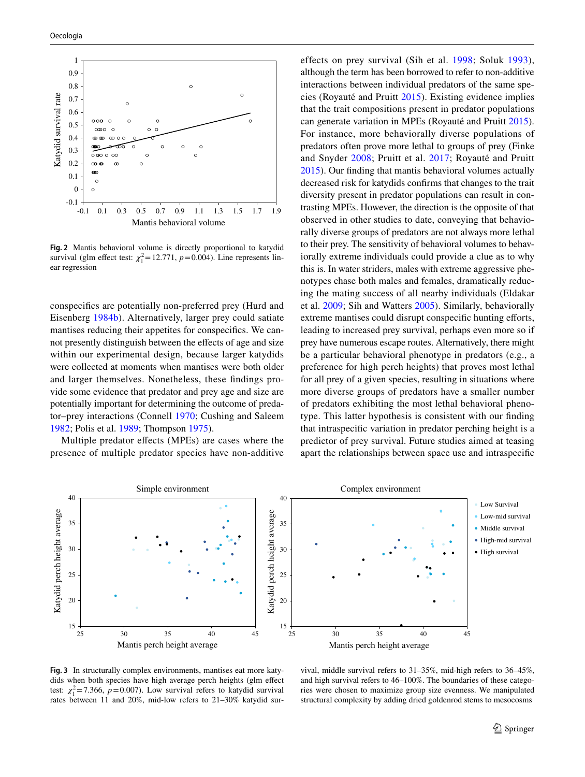

<span id="page-8-0"></span>**Fig. 2** Mantis behavioral volume is directly proportional to katydid survival (glm effect test:  $\chi_1^2 = 12.771$ ,  $p = 0.004$ ). Line represents linear regression

conspecifcs are potentially non-preferred prey (Hurd and Eisenberg [1984b\)](#page-10-31). Alternatively, larger prey could satiate mantises reducing their appetites for conspecifcs. We cannot presently distinguish between the efects of age and size within our experimental design, because larger katydids were collected at moments when mantises were both older and larger themselves. Nonetheless, these fndings provide some evidence that predator and prey age and size are potentially important for determining the outcome of predator–prey interactions (Connell [1970;](#page-10-32) Cushing and Saleem [1982](#page-10-33); Polis et al. [1989](#page-11-24); Thompson [1975](#page-11-25)).

Multiple predator efects (MPEs) are cases where the presence of multiple predator species have non-additive

effects on prey survival (Sih et al. [1998;](#page-11-26) Soluk [1993](#page-11-27)), although the term has been borrowed to refer to non-additive interactions between individual predators of the same species (Royauté and Pruitt [2015](#page-11-14)). Existing evidence implies that the trait compositions present in predator populations can generate variation in MPEs (Royauté and Pruitt [2015](#page-11-14)). For instance, more behaviorally diverse populations of predators often prove more lethal to groups of prey (Finke and Snyder [2008](#page-10-3); Pruitt et al. [2017;](#page-11-6) Royauté and Pruitt [2015](#page-11-14)). Our fnding that mantis behavioral volumes actually decreased risk for katydids confrms that changes to the trait diversity present in predator populations can result in contrasting MPEs. However, the direction is the opposite of that observed in other studies to date, conveying that behaviorally diverse groups of predators are not always more lethal to their prey. The sensitivity of behavioral volumes to behaviorally extreme individuals could provide a clue as to why this is. In water striders, males with extreme aggressive phenotypes chase both males and females, dramatically reducing the mating success of all nearby individuals (Eldakar et al. [2009](#page-10-34); Sih and Watters [2005\)](#page-11-28). Similarly, behaviorally extreme mantises could disrupt conspecific hunting efforts. leading to increased prey survival, perhaps even more so if prey have numerous escape routes. Alternatively, there might be a particular behavioral phenotype in predators (e.g., a preference for high perch heights) that proves most lethal for all prey of a given species, resulting in situations where more diverse groups of predators have a smaller number of predators exhibiting the most lethal behavioral phenotype. This latter hypothesis is consistent with our fnding that intraspecifc variation in predator perching height is a predictor of prey survival. Future studies aimed at teasing apart the relationships between space use and intraspecifc



<span id="page-8-1"></span>**Fig. 3** In structurally complex environments, mantises eat more katydids when both species have high average perch heights (glm effect test:  $\chi_1^2 = 7.366$ ,  $p = 0.007$ ). Low survival refers to katydid survival rates between 11 and 20%, mid-low refers to 21–30% katydid sur-

vival, middle survival refers to 31–35%, mid-high refers to 36–45%, and high survival refers to 46–100%. The boundaries of these categories were chosen to maximize group size evenness. We manipulated structural complexity by adding dried goldenrod stems to mesocosms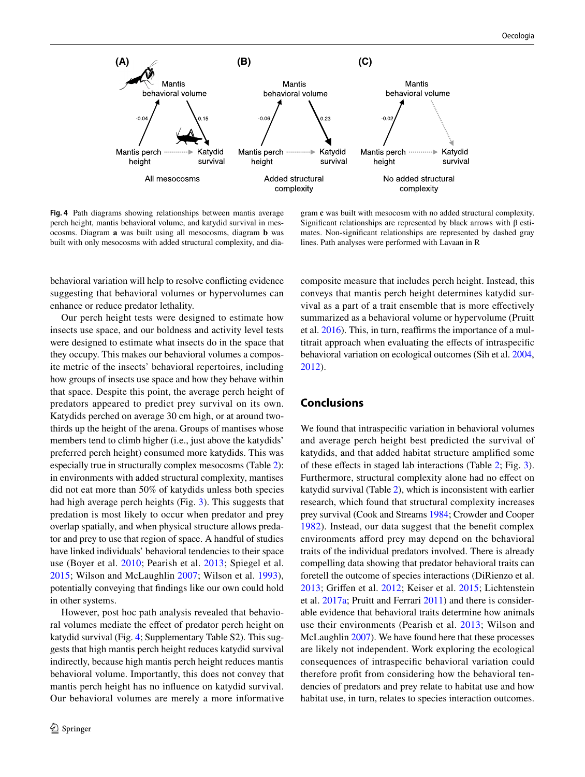

<span id="page-9-0"></span>**Fig. 4** Path diagrams showing relationships between mantis average perch height, mantis behavioral volume, and katydid survival in mesocosms. Diagram **a** was built using all mesocosms, diagram **b** was built with only mesocosms with added structural complexity, and dia-

gram **c** was built with mesocosm with no added structural complexity. Significant relationships are represented by black arrows with  $\beta$  estimates. Non-signifcant relationships are represented by dashed gray lines. Path analyses were performed with Lavaan in R

behavioral variation will help to resolve conficting evidence suggesting that behavioral volumes or hypervolumes can enhance or reduce predator lethality.

Our perch height tests were designed to estimate how insects use space, and our boldness and activity level tests were designed to estimate what insects do in the space that they occupy. This makes our behavioral volumes a composite metric of the insects' behavioral repertoires, including how groups of insects use space and how they behave within that space. Despite this point, the average perch height of predators appeared to predict prey survival on its own. Katydids perched on average 30 cm high, or at around twothirds up the height of the arena. Groups of mantises whose members tend to climb higher (i.e., just above the katydids' preferred perch height) consumed more katydids. This was especially true in structurally complex mesocosms (Table [2](#page-7-0)): in environments with added structural complexity, mantises did not eat more than 50% of katydids unless both species had high average perch heights (Fig. [3](#page-8-1)). This suggests that predation is most likely to occur when predator and prey overlap spatially, and when physical structure allows predator and prey to use that region of space. A handful of studies have linked individuals' behavioral tendencies to their space use (Boyer et al. [2010;](#page-10-35) Pearish et al. [2013](#page-11-3); Spiegel et al. [2015;](#page-11-29) Wilson and McLaughlin [2007](#page-11-4); Wilson et al. [1993](#page-11-30)), potentially conveying that fndings like our own could hold in other systems.

However, post hoc path analysis revealed that behavioral volumes mediate the efect of predator perch height on katydid survival (Fig. [4;](#page-9-0) Supplementary Table S2). This suggests that high mantis perch height reduces katydid survival indirectly, because high mantis perch height reduces mantis behavioral volume. Importantly, this does not convey that mantis perch height has no infuence on katydid survival. Our behavioral volumes are merely a more informative composite measure that includes perch height. Instead, this conveys that mantis perch height determines katydid survival as a part of a trait ensemble that is more efectively summarized as a behavioral volume or hypervolume (Pruitt et al.  $2016$ ). This, in turn, reaffirms the importance of a multitrait approach when evaluating the efects of intraspecifc behavioral variation on ecological outcomes (Sih et al. [2004,](#page-11-31) [2012](#page-11-32)).

### **Conclusions**

We found that intraspecifc variation in behavioral volumes and average perch height best predicted the survival of katydids, and that added habitat structure amplifed some of these efects in staged lab interactions (Table [2;](#page-7-0) Fig. [3](#page-8-1)). Furthermore, structural complexity alone had no efect on katydid survival (Table [2\)](#page-7-0), which is inconsistent with earlier research, which found that structural complexity increases prey survival (Cook and Streams [1984;](#page-10-9) Crowder and Cooper [1982\)](#page-10-10). Instead, our data suggest that the beneft complex environments afford prey may depend on the behavioral traits of the individual predators involved. There is already compelling data showing that predator behavioral traits can foretell the outcome of species interactions (DiRienzo et al. [2013;](#page-10-1) Grifen et al. [2012;](#page-10-36) Keiser et al. [2015;](#page-10-5) Lichtenstein et al. [2017a](#page-10-6); Pruitt and Ferrari [2011\)](#page-11-33) and there is considerable evidence that behavioral traits determine how animals use their environments (Pearish et al. [2013;](#page-11-3) Wilson and McLaughlin [2007\)](#page-11-4). We have found here that these processes are likely not independent. Work exploring the ecological consequences of intraspecifc behavioral variation could therefore proft from considering how the behavioral tendencies of predators and prey relate to habitat use and how habitat use, in turn, relates to species interaction outcomes.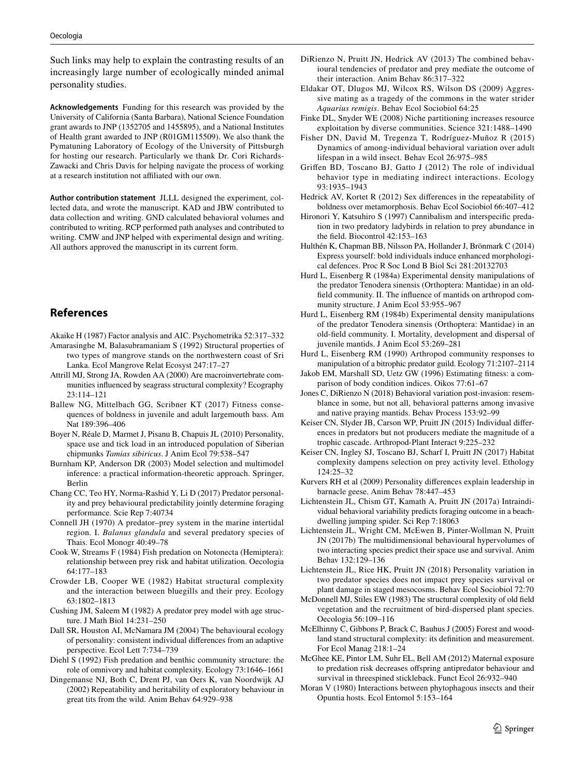Such links may help to explain the contrasting results of an increasingly large number of ecologically minded animal personality studies.

**Acknowledgements** Funding for this research was provided by the University of California (Santa Barbara), National Science Foundation grant awards to JNP (1352705 and 1455895), and a National Institutes of Health grant awarded to JNP (R01GM115509). We also thank the Pymatuning Laboratory of Ecology of the University of Pittsburgh for hosting our research. Particularly we thank Dr. Cori Richards-Zawacki and Chris Davis for helping navigate the process of working at a research institution not afliated with our own.

**Author contribution statement** JLLL designed the experiment, collected data, and wrote the manuscript. KAD and JBW contributed to data collection and writing. GND calculated behavioral volumes and contributed to writing. RCP performed path analyses and contributed to writing. CMW and JNP helped with experimental design and writing. All authors approved the manuscript in its current form.

## **References**

<span id="page-10-27"></span>Akaike H (1987) Factor analysis and AIC. Psychometrika 52:317–332

- <span id="page-10-13"></span>Amarasinghe M, Balasubramaniam S (1992) Structural properties of two types of mangrove stands on the northwestern coast of Sri Lanka. Ecol Mangrove Relat Ecosyst 247:17–27
- <span id="page-10-16"></span>Attrill MJ, Strong JA, Rowden AA (2000) Are macroinvertebrate communities infuenced by seagrass structural complexity? Ecography 23:114–121
- <span id="page-10-2"></span>Ballew NG, Mittelbach GG, Scribner KT (2017) Fitness consequences of boldness in juvenile and adult largemouth bass. Am Nat 189:396–406
- <span id="page-10-35"></span>Boyer N, Réale D, Marmet J, Pisanu B, Chapuis JL (2010) Personality, space use and tick load in an introduced population of Siberian chipmunks *Tamias sibiricus*. J Anim Ecol 79:538–547
- <span id="page-10-28"></span>Burnham KP, Anderson DR (2003) Model selection and multimodel inference: a practical information-theoretic approach. Springer, Berlin
- <span id="page-10-0"></span>Chang CC, Teo HY, Norma-Rashid Y, Li D (2017) Predator personality and prey behavioural predictability jointly determine foraging performance. Scie Rep 7:40734
- <span id="page-10-32"></span>Connell JH (1970) A predator–prey system in the marine intertidal region. I. *Balanus glandula* and several predatory species of Thais. Ecol Monogr 40:49–78
- <span id="page-10-9"></span>Cook W, Streams F (1984) Fish predation on Notonecta (Hemiptera): relationship between prey risk and habitat utilization. Oecologia 64:177–183
- <span id="page-10-10"></span>Crowder LB, Cooper WE (1982) Habitat structural complexity and the interaction between bluegills and their prey. Ecology 63:1802–1813
- <span id="page-10-33"></span>Cushing JM, Saleem M (1982) A predator prey model with age structure. J Math Biol 14:231–250
- <span id="page-10-18"></span>Dall SR, Houston AI, McNamara JM (2004) The behavioural ecology of personality: consistent individual diferences from an adaptive perspective. Ecol Lett 7:734–739
- <span id="page-10-17"></span>Diehl S (1992) Fish predation and benthic community structure: the role of omnivory and habitat complexity. Ecology 73:1646–1661
- <span id="page-10-22"></span>Dingemanse NJ, Both C, Drent PJ, van Oers K, van Noordwijk AJ (2002) Repeatability and heritability of exploratory behaviour in great tits from the wild. Anim Behav 64:929–938
- <span id="page-10-1"></span>DiRienzo N, Pruitt JN, Hedrick AV (2013) The combined behavioural tendencies of predator and prey mediate the outcome of their interaction. Anim Behav 86:317–322
- <span id="page-10-34"></span>Eldakar OT, Dlugos MJ, Wilcox RS, Wilson DS (2009) Aggressive mating as a tragedy of the commons in the water strider *Aquarius remigis*. Behav Ecol Sociobiol 64:25
- <span id="page-10-3"></span>Finke DL, Snyder WE (2008) Niche partitioning increases resource exploitation by diverse communities. Science 321:1488–1490
- <span id="page-10-24"></span>Fisher DN, David M, Tregenza T, Rodríguez-Muñoz R (2015) Dynamics of among-individual behavioral variation over adult lifespan in a wild insect. Behav Ecol 26:975–985
- <span id="page-10-36"></span>Grifen BD, Toscano BJ, Gatto J (2012) The role of individual behavior type in mediating indirect interactions. Ecology 93:1935–1943
- <span id="page-10-25"></span>Hedrick AV, Kortet R (2012) Sex diferences in the repeatability of boldness over metamorphosis. Behav Ecol Sociobiol 66:407–412
- <span id="page-10-30"></span>Hironori Y, Katsuhiro S (1997) Cannibalism and interspecifc predation in two predatory ladybirds in relation to prey abundance in the feld. Biocontrol 42:153–163
- <span id="page-10-4"></span>Hulthén K, Chapman BB, Nilsson PA, Hollander J, Brönmark C (2014) Express yourself: bold individuals induce enhanced morphological defences. Proc R Soc Lond B Biol Sci 281:20132703
- <span id="page-10-19"></span>Hurd L, Eisenberg R (1984a) Experimental density manipulations of the predator Tenodera sinensis (Orthoptera: Mantidae) in an oldfeld community. II. The infuence of mantids on arthropod community structure. J Anim Ecol 53:955–967
- <span id="page-10-31"></span>Hurd L, Eisenberg RM (1984b) Experimental density manipulations of the predator Tenodera sinensis (Orthoptera: Mantidae) in an old-feld community. I. Mortality, development and dispersal of juvenile mantids. J Anim Ecol 53:269–281
- <span id="page-10-20"></span>Hurd L, Eisenberg RM (1990) Arthropod community responses to manipulation of a bitrophic predator guild. Ecology 71:2107–2114
- <span id="page-10-26"></span>Jakob EM, Marshall SD, Uetz GW (1996) Estimating ftness: a comparison of body condition indices. Oikos 77:61–67
- <span id="page-10-29"></span>Jones C, DiRienzo N (2018) Behavioral variation post-invasion: resemblance in some, but not all, behavioral patterns among invasive and native praying mantids. Behav Process 153:92–99
- <span id="page-10-5"></span>Keiser CN, Slyder JB, Carson WP, Pruitt JN (2015) Individual diferences in predators but not producers mediate the magnitude of a trophic cascade. Arthropod-Plant Interact 9:225–232
- <span id="page-10-11"></span>Keiser CN, Ingley SJ, Toscano BJ, Scharf I, Pruitt JN (2017) Habitat complexity dampens selection on prey activity level. Ethology 124:25–32
- <span id="page-10-23"></span>Kurvers RH et al (2009) Personality diferences explain leadership in barnacle geese. Anim Behav 78:447–453
- <span id="page-10-6"></span>Lichtenstein JL, Chism GT, Kamath A, Pruitt JN (2017a) Intraindividual behavioral variability predicts foraging outcome in a beachdwelling jumping spider. Sci Rep 7:18063
- <span id="page-10-12"></span>Lichtenstein JL, Wright CM, McEwen B, Pinter-Wollman N, Pruitt JN (2017b) The multidimensional behavioural hypervolumes of two interacting species predict their space use and survival. Anim Behav 132:129–136
- <span id="page-10-7"></span>Lichtenstein JL, Rice HK, Pruitt JN (2018) Personality variation in two predator species does not impact prey species survival or plant damage in staged mesocosms. Behav Ecol Sociobiol 72:70
- <span id="page-10-21"></span>McDonnell MJ, Stiles EW (1983) The structural complexity of old feld vegetation and the recruitment of bird-dispersed plant species. Oecologia 56:109–116
- <span id="page-10-14"></span>McElhinny C, Gibbons P, Brack C, Bauhus J (2005) Forest and woodland stand structural complexity: its defnition and measurement. For Ecol Manag 218:1–24
- <span id="page-10-8"></span>McGhee KE, Pintor LM, Suhr EL, Bell AM (2012) Maternal exposure to predation risk decreases ofspring antipredator behaviour and survival in threespined stickleback. Funct Ecol 26:932–940
- <span id="page-10-15"></span>Moran V (1980) Interactions between phytophagous insects and their Opuntia hosts. Ecol Entomol 5:153–164